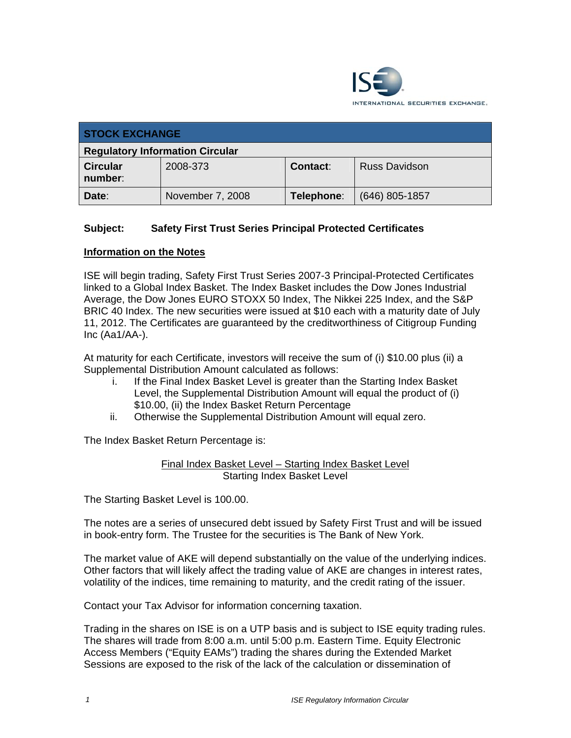

| <b>STOCK EXCHANGE</b>                  |                  |                 |                      |  |
|----------------------------------------|------------------|-----------------|----------------------|--|
| <b>Regulatory Information Circular</b> |                  |                 |                      |  |
| <b>Circular</b><br>number:             | 2008-373         | <b>Contact:</b> | <b>Russ Davidson</b> |  |
| Date:                                  | November 7, 2008 | Telephone:      | $(646)$ 805-1857     |  |

## **Subject: Safety First Trust Series Principal Protected Certificates**

## **Information on the Notes**

ISE will begin trading, Safety First Trust Series 2007-3 Principal-Protected Certificates linked to a Global Index Basket. The Index Basket includes the Dow Jones Industrial Average, the Dow Jones EURO STOXX 50 Index, The Nikkei 225 Index, and the S&P BRIC 40 Index. The new securities were issued at \$10 each with a maturity date of July 11, 2012. The Certificates are guaranteed by the creditworthiness of Citigroup Funding  $Inc (Aa1/AA-).$ 

At maturity for each Certificate, investors will receive the sum of (i) \$10.00 plus (ii) a Supplemental Distribution Amount calculated as follows:

- i. If the Final Index Basket Level is greater than the Starting Index Basket Level, the Supplemental Distribution Amount will equal the product of (i) \$10.00, (ii) the Index Basket Return Percentage
- ii. Otherwise the Supplemental Distribution Amount will equal zero.

The Index Basket Return Percentage is:

Final Index Basket Level – Starting Index Basket Level Starting Index Basket Level

The Starting Basket Level is 100.00.

The notes are a series of unsecured debt issued by Safety First Trust and will be issued in book-entry form. The Trustee for the securities is The Bank of New York.

The market value of AKE will depend substantially on the value of the underlying indices. Other factors that will likely affect the trading value of AKE are changes in interest rates, volatility of the indices, time remaining to maturity, and the credit rating of the issuer.

Contact your Tax Advisor for information concerning taxation.

Trading in the shares on ISE is on a UTP basis and is subject to ISE equity trading rules. The shares will trade from 8:00 a.m. until 5:00 p.m. Eastern Time. Equity Electronic Access Members ("Equity EAMs") trading the shares during the Extended Market Sessions are exposed to the risk of the lack of the calculation or dissemination of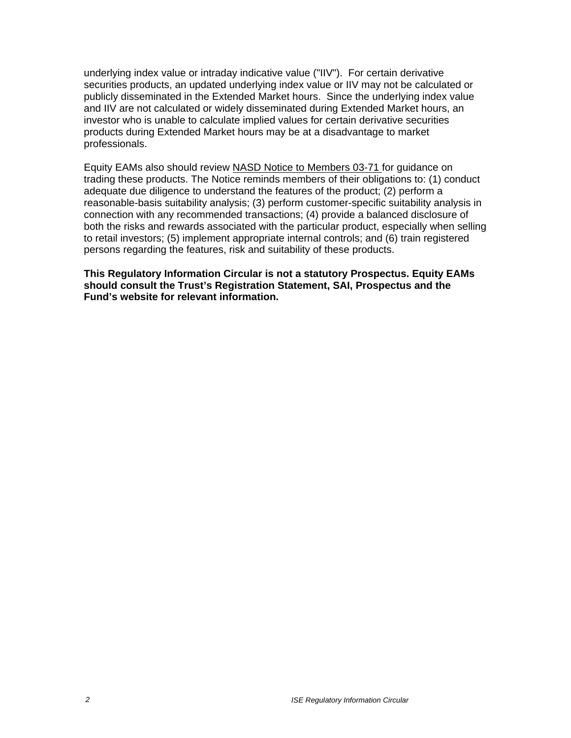underlying index value or intraday indicative value ("IIV"). For certain derivative securities products, an updated underlying index value or IIV may not be calculated or publicly disseminated in the Extended Market hours. Since the underlying index value and IIV are not calculated or widely disseminated during Extended Market hours, an investor who is unable to calculate implied values for certain derivative securities products during Extended Market hours may be at a disadvantage to market professionals.

Equity EAMs also should review NASD Notice to Members 03-71 for guidance on trading these products. The Notice reminds members of their obligations to: (1) conduct adequate due diligence to understand the features of the product; (2) perform a reasonable-basis suitability analysis; (3) perform customer-specific suitability analysis in connection with any recommended transactions; (4) provide a balanced disclosure of both the risks and rewards associated with the particular product, especially when selling to retail investors; (5) implement appropriate internal controls; and (6) train registered persons regarding the features, risk and suitability of these products.

**This Regulatory Information Circular is not a statutory Prospectus. Equity EAMs should consult the Trust's Registration Statement, SAI, Prospectus and the Fund's website for relevant information.**